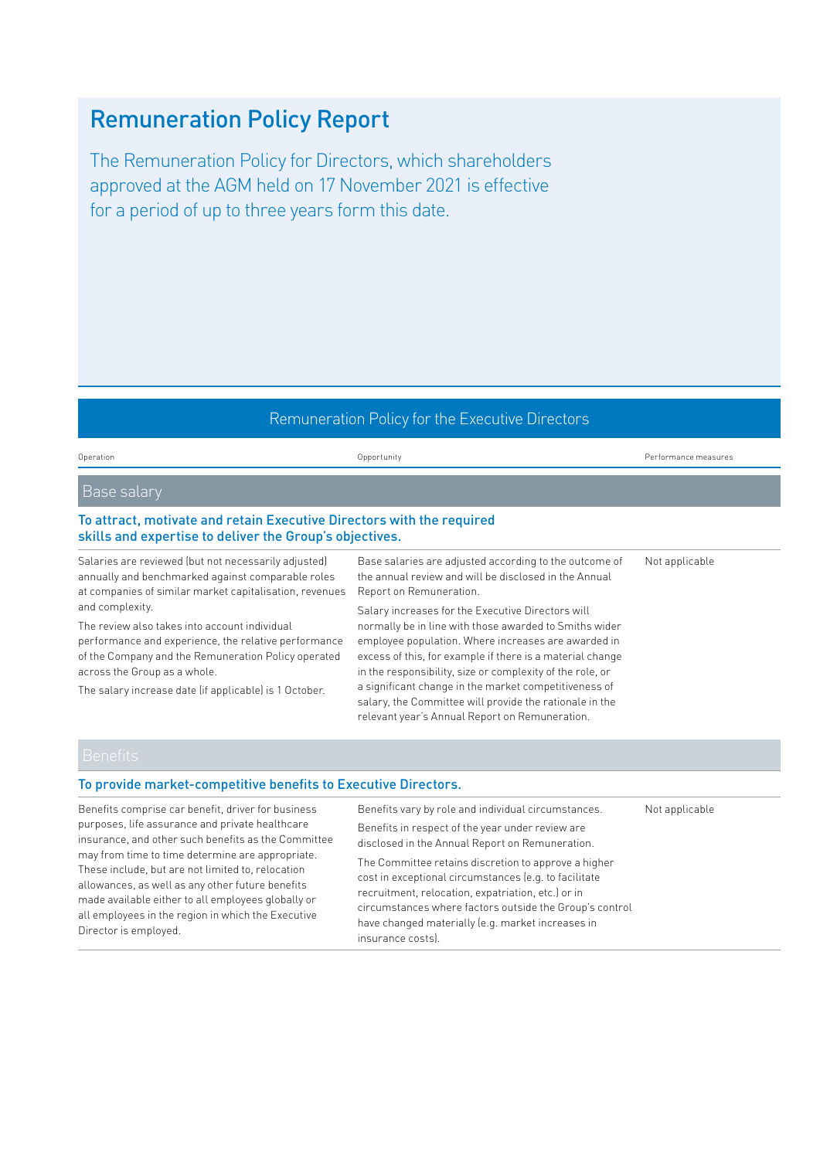# Remuneration Policy Report

The Remuneration Policy for Directors, which shareholders approved at the AGM held on 17 November 2021 is effective for a period of up to three years form this date.

#### Remuneration Policy for the Executive Directors

Operation Opportunity Performance measures

Not applicable

#### Base salary

#### To attract, motivate and retain Executive Directors with the required skills and expertise to deliver the Group's objectives.

Salaries are reviewed (but not necessarily adjusted) annually and benchmarked against comparable roles at companies of similar market capitalisation, revenues and complexity.

The review also takes into account individual performance and experience, the relative performance of the Company and the Remuneration Policy operated across the Group as a whole.

The salary increase date (if applicable) is 1 October.

Base salaries are adjusted according to the outcome of the annual review and will be disclosed in the Annual Report on Remuneration.

Salary increases for the Executive Directors will normally be in line with those awarded to Smiths wider employee population. Where increases are awarded in excess of this, for example if there is a material change in the responsibility, size or complexity of the role, or a significant change in the market competitiveness of salary, the Committee will provide the rationale in the relevant year's Annual Report on Remuneration.

#### To provide market-competitive benefits to Executive Directors.

Benefits comprise car benefit, driver for business purposes, life assurance and private healthcare insurance, and other such benefits as the Committee may from time to time determine are appropriate. These include, but are not limited to, relocation allowances, as well as any other future benefits made available either to all employees globally or all employees in the region in which the Executive Director is employed.

Benefits vary by role and individual circumstances. Benefits in respect of the year under review are disclosed in the Annual Report on Remuneration. The Committee retains discretion to approve a higher cost in exceptional circumstances (e.g. to facilitate recruitment, relocation, expatriation, etc.) or in circumstances where factors outside the Group's control have changed materially (e.g. market increases in insurance costs). Not applicable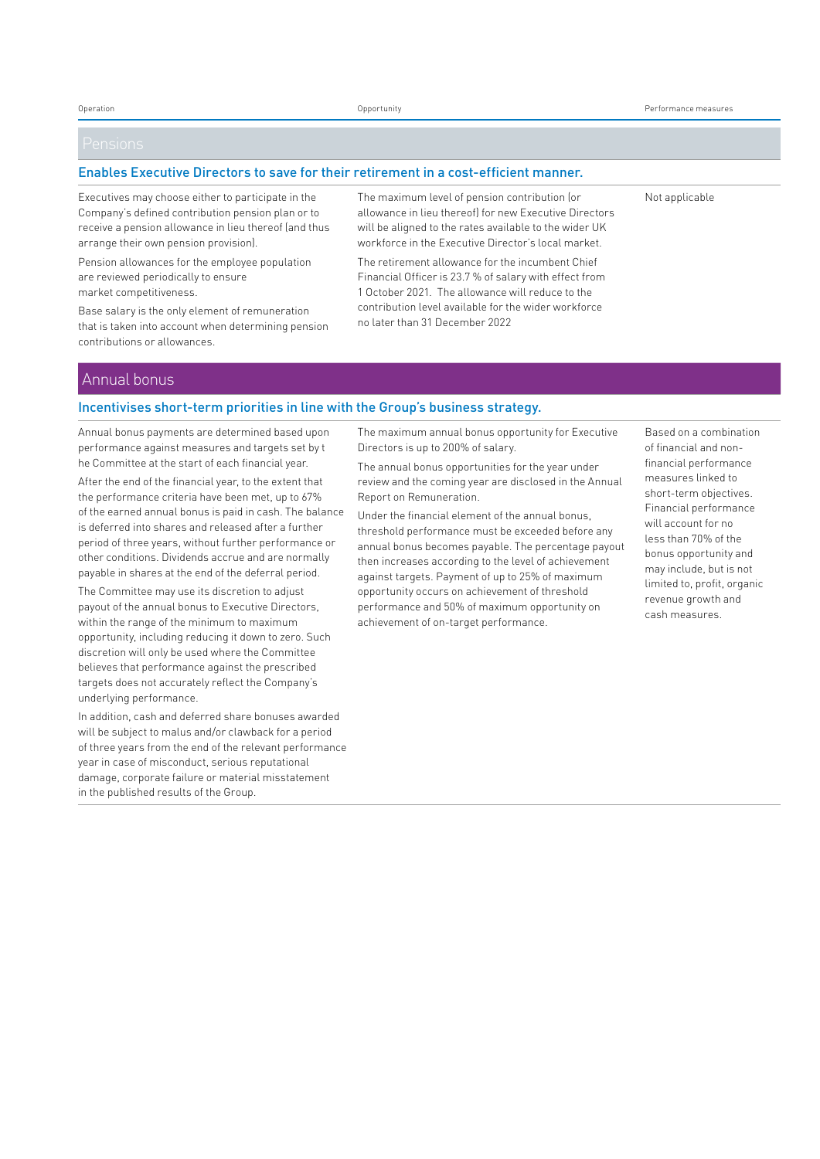#### Enables Executive Directors to save for their retirement in a cost-efficient manner.

Executives may choose either to participate in the Company's defined contribution pension plan or to receive a pension allowance in lieu thereof (and thus arrange their own pension provision).

Pension allowances for the employee population are reviewed periodically to ensure market competitiveness.

Base salary is the only element of remuneration that is taken into account when determining pension contributions or allowances.

The maximum level of pension contribution (or allowance in lieu thereof) for new Executive Directors will be aligned to the rates available to the wider UK workforce in the Executive Director's local market.

The retirement allowance for the incumbent Chief Financial Officer is 23.7 % of salary with effect from 1 October 2021. The allowance will reduce to the contribution level available for the wider workforce no later than 31 December 2022

Not applicable

#### Annual bonus

#### Incentivises short-term priorities in line with the Group's business strategy.

Annual bonus payments are determined based upon performance against measures and targets set by t he Committee at the start of each financial year.

After the end of the financial year, to the extent that the performance criteria have been met, up to 67% of the earned annual bonus is paid in cash. The balance is deferred into shares and released after a further period of three years, without further performance or other conditions. Dividends accrue and are normally payable in shares at the end of the deferral period.

The Committee may use its discretion to adjust payout of the annual bonus to Executive Directors, within the range of the minimum to maximum opportunity, including reducing it down to zero. Such discretion will only be used where the Committee believes that performance against the prescribed targets does not accurately reflect the Company's underlying performance.

In addition, cash and deferred share bonuses awarded will be subject to malus and/or clawback for a period of three years from the end of the relevant performance year in case of misconduct, serious reputational damage, corporate failure or material misstatement in the published results of the Group.

The maximum annual bonus opportunity for Executive Directors is up to 200% of salary.

The annual bonus opportunities for the year under review and the coming year are disclosed in the Annual Report on Remuneration.

Under the financial element of the annual bonus, threshold performance must be exceeded before any annual bonus becomes payable. The percentage payout then increases according to the level of achievement against targets. Payment of up to 25% of maximum opportunity occurs on achievement of threshold performance and 50% of maximum opportunity on achievement of on-target performance.

Based on a combination of financial and nonfinancial performance measures linked to short-term objectives. Financial performance will account for no less than 70% of the bonus opportunity and may include, but is not limited to, profit, organic revenue growth and cash measures.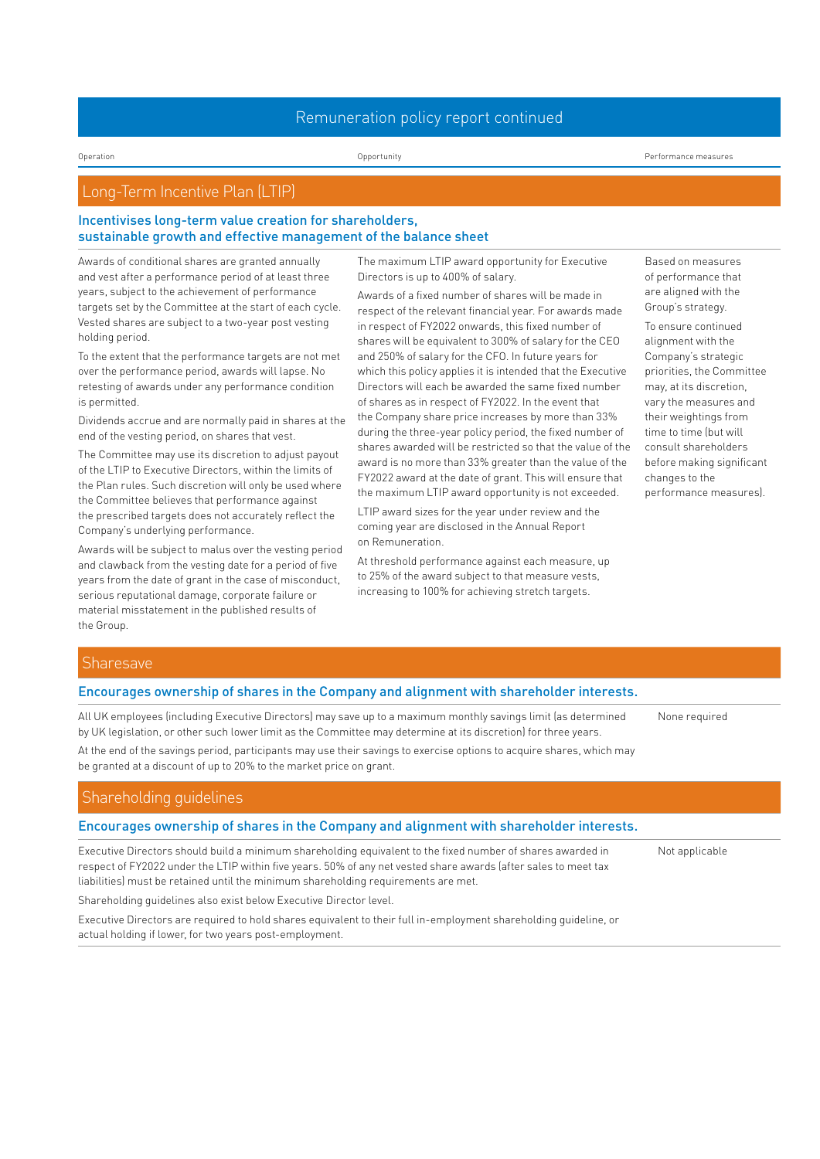#### Remuneration policy report continued

Operation Opportunity Performance measures

# Long-Term Incentive Plan (LTIP)

#### Incentivises long-term value creation for shareholders, sustainable growth and effective management of the balance sheet

Awards of conditional shares are granted annually and vest after a performance period of at least three years, subject to the achievement of performance targets set by the Committee at the start of each cycle. Vested shares are subject to a two-year post vesting holding period.

To the extent that the performance targets are not met over the performance period, awards will lapse. No retesting of awards under any performance condition is permitted.

Dividends accrue and are normally paid in shares at the end of the vesting period, on shares that vest.

The Committee may use its discretion to adjust payout of the LTIP to Executive Directors, within the limits of the Plan rules. Such discretion will only be used where the Committee believes that performance against the prescribed targets does not accurately reflect the Company's underlying performance.

Awards will be subject to malus over the vesting period and clawback from the vesting date for a period of five years from the date of grant in the case of misconduct, serious reputational damage, corporate failure or material misstatement in the published results of the Group.

The maximum LTIP award opportunity for Executive Directors is up to 400% of salary.

Awards of a fixed number of shares will be made in respect of the relevant financial year. For awards made in respect of FY2022 onwards, this fixed number of shares will be equivalent to 300% of salary for the CEO and 250% of salary for the CFO. In future years for which this policy applies it is intended that the Executive Directors will each be awarded the same fixed number of shares as in respect of FY2022. In the event that the Company share price increases by more than 33% during the three-year policy period, the fixed number of shares awarded will be restricted so that the value of the award is no more than 33% greater than the value of the FY2022 award at the date of grant. This will ensure that the maximum LTIP award opportunity is not exceeded.

LTIP award sizes for the year under review and the coming year are disclosed in the Annual Report on Remuneration.

At threshold performance against each measure, up to 25% of the award subject to that measure vests, increasing to 100% for achieving stretch targets.

Based on measures of performance that are aligned with the Group's strategy.

To ensure continued alignment with the Company's strategic priorities, the Committee may, at its discretion, vary the measures and their weightings from time to time (but will consult shareholders before making significant changes to the performance measures).

None required

Not applicable

#### **Sharesave**

#### Encourages ownership of shares in the Company and alignment with shareholder interests.

All UK employees (including Executive Directors) may save up to a maximum monthly savings limit (as determined by UK legislation, or other such lower limit as the Committee may determine at its discretion) for three years.

At the end of the savings period, participants may use their savings to exercise options to acquire shares, which may be granted at a discount of up to 20% to the market price on grant.

#### Shareholding guidelines

#### Encourages ownership of shares in the Company and alignment with shareholder interests.

Executive Directors should build a minimum shareholding equivalent to the fixed number of shares awarded in respect of FY2022 under the LTIP within five years. 50% of any net vested share awards (after sales to meet tax liabilities) must be retained until the minimum shareholding requirements are met.

Shareholding guidelines also exist below Executive Director level.

Executive Directors are required to hold shares equivalent to their full in-employment shareholding guideline, or actual holding if lower, for two years post-employment.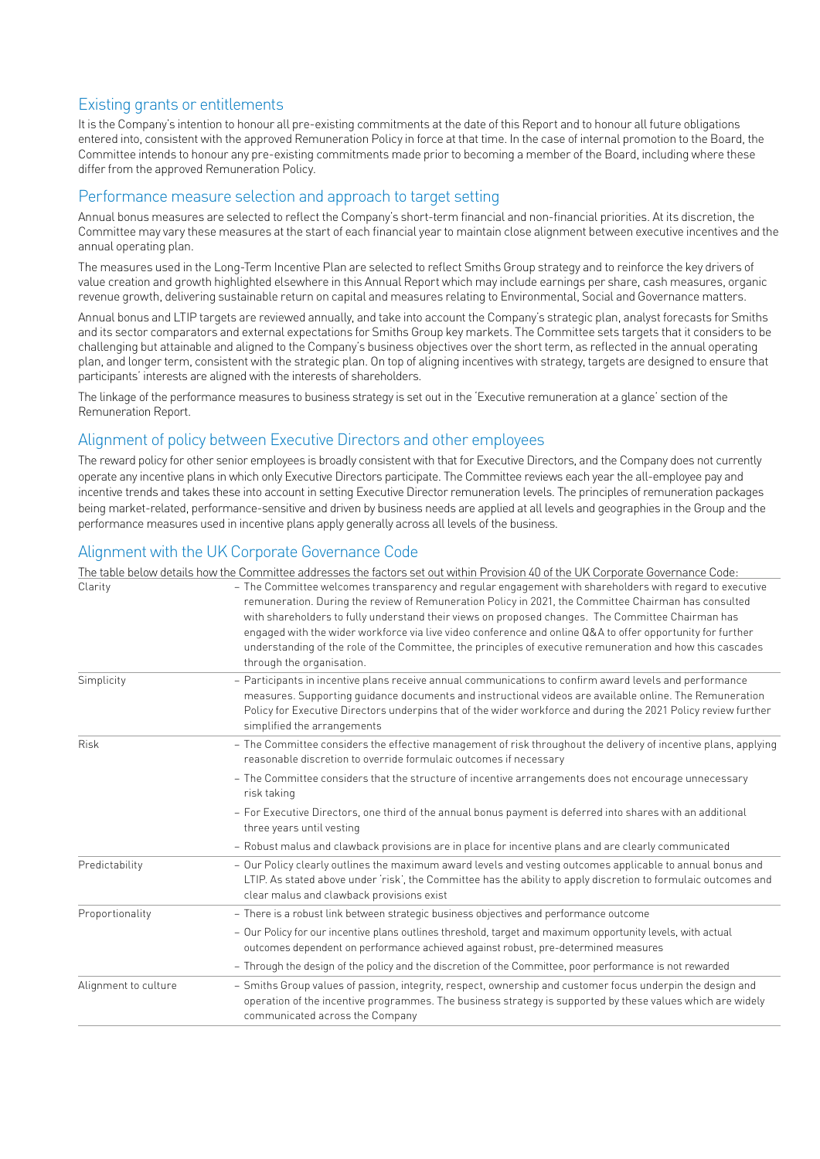# Existing grants or entitlements

It is the Company's intention to honour all pre-existing commitments at the date of this Report and to honour all future obligations entered into, consistent with the approved Remuneration Policy in force at that time. In the case of internal promotion to the Board, the Committee intends to honour any pre-existing commitments made prior to becoming a member of the Board, including where these differ from the approved Remuneration Policy.

# Performance measure selection and approach to target setting

Annual bonus measures are selected to reflect the Company's short-term financial and non-financial priorities. At its discretion, the Committee may vary these measures at the start of each financial year to maintain close alignment between executive incentives and the annual operating plan.

The measures used in the Long-Term Incentive Plan are selected to reflect Smiths Group strategy and to reinforce the key drivers of value creation and growth highlighted elsewhere in this Annual Report which may include earnings per share, cash measures, organic revenue growth, delivering sustainable return on capital and measures relating to Environmental, Social and Governance matters.

Annual bonus and LTIP targets are reviewed annually, and take into account the Company's strategic plan, analyst forecasts for Smiths and its sector comparators and external expectations for Smiths Group key markets. The Committee sets targets that it considers to be challenging but attainable and aligned to the Company's business objectives over the short term, as reflected in the annual operating plan, and longer term, consistent with the strategic plan. On top of aligning incentives with strategy, targets are designed to ensure that participants' interests are aligned with the interests of shareholders.

The linkage of the performance measures to business strategy is set out in the 'Executive remuneration at a glance' section of the Remuneration Report.

# Alignment of policy between Executive Directors and other employees

The reward policy for other senior employees is broadly consistent with that for Executive Directors, and the Company does not currently operate any incentive plans in which only Executive Directors participate. The Committee reviews each year the all-employee pay and incentive trends and takes these into account in setting Executive Director remuneration levels. The principles of remuneration packages being market-related, performance-sensitive and driven by business needs are applied at all levels and geographies in the Group and the performance measures used in incentive plans apply generally across all levels of the business.

# Alignment with the UK Corporate Governance Code

|                      | The table below details how the Committee addresses the factors set out within Provision 40 of the UK Corporate Governance Code:                                                                                                                                                                                                                                                                                                                                                                                                                                              |
|----------------------|-------------------------------------------------------------------------------------------------------------------------------------------------------------------------------------------------------------------------------------------------------------------------------------------------------------------------------------------------------------------------------------------------------------------------------------------------------------------------------------------------------------------------------------------------------------------------------|
| Clarity              | - The Committee welcomes transparency and regular engagement with shareholders with regard to executive<br>remuneration. During the review of Remuneration Policy in 2021, the Committee Chairman has consulted<br>with shareholders to fully understand their views on proposed changes. The Committee Chairman has<br>engaged with the wider workforce via live video conference and online Q&A to offer opportunity for further<br>understanding of the role of the Committee, the principles of executive remuneration and how this cascades<br>through the organisation. |
| Simplicity           | - Participants in incentive plans receive annual communications to confirm award levels and performance<br>measures. Supporting quidance documents and instructional videos are available online. The Remuneration<br>Policy for Executive Directors underpins that of the wider workforce and during the 2021 Policy review further<br>simplified the arrangements                                                                                                                                                                                                           |
| <b>Risk</b>          | - The Committee considers the effective management of risk throughout the delivery of incentive plans, applying<br>reasonable discretion to override formulaic outcomes if necessary                                                                                                                                                                                                                                                                                                                                                                                          |
|                      | - The Committee considers that the structure of incentive arrangements does not encourage unnecessary<br>risk taking                                                                                                                                                                                                                                                                                                                                                                                                                                                          |
|                      | - For Executive Directors, one third of the annual bonus payment is deferred into shares with an additional<br>three years until vesting                                                                                                                                                                                                                                                                                                                                                                                                                                      |
|                      | - Robust malus and clawback provisions are in place for incentive plans and are clearly communicated                                                                                                                                                                                                                                                                                                                                                                                                                                                                          |
| Predictability       | - Our Policy clearly outlines the maximum award levels and vesting outcomes applicable to annual bonus and<br>LTIP. As stated above under 'risk', the Committee has the ability to apply discretion to formulaic outcomes and<br>clear malus and clawback provisions exist                                                                                                                                                                                                                                                                                                    |
| Proportionality      | - There is a robust link between strategic business objectives and performance outcome                                                                                                                                                                                                                                                                                                                                                                                                                                                                                        |
|                      | - Our Policy for our incentive plans outlines threshold, target and maximum opportunity levels, with actual<br>outcomes dependent on performance achieved against robust, pre-determined measures                                                                                                                                                                                                                                                                                                                                                                             |
|                      | - Through the design of the policy and the discretion of the Committee, poor performance is not rewarded                                                                                                                                                                                                                                                                                                                                                                                                                                                                      |
| Alignment to culture | - Smiths Group values of passion, integrity, respect, ownership and customer focus underpin the design and<br>operation of the incentive programmes. The business strategy is supported by these values which are widely<br>communicated across the Company                                                                                                                                                                                                                                                                                                                   |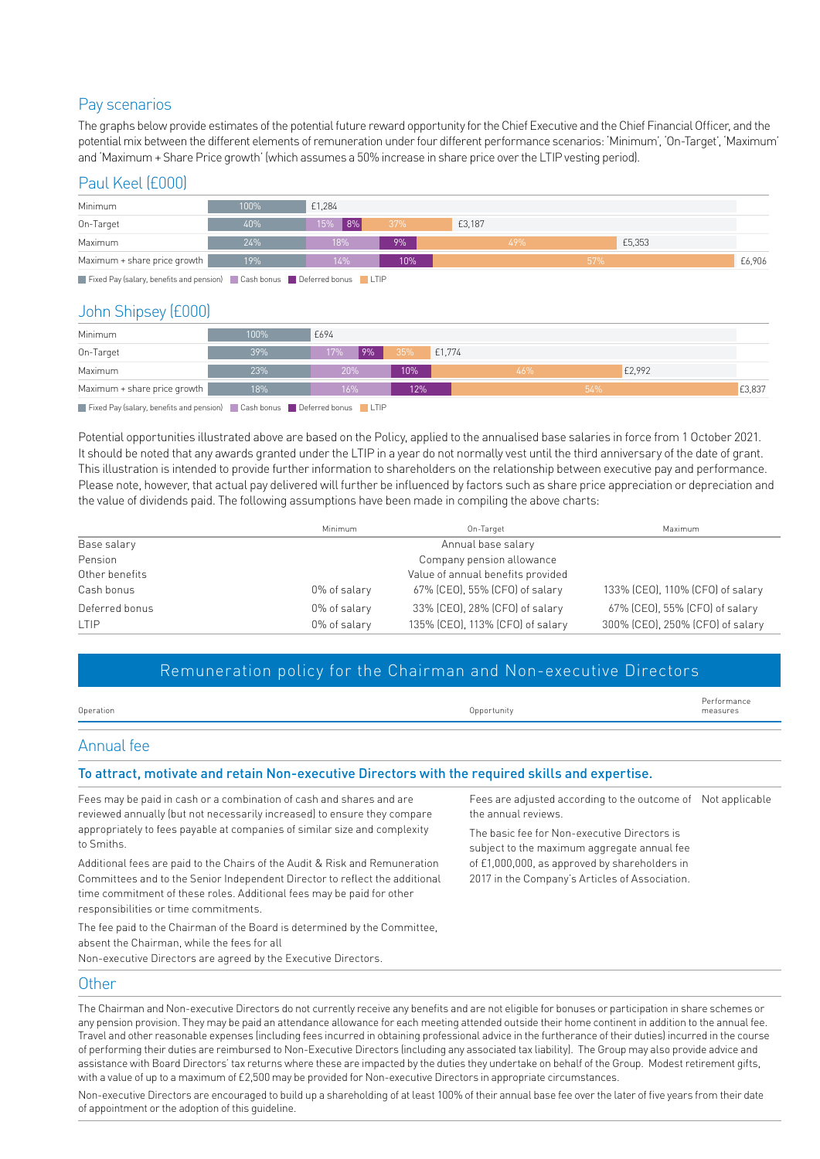# Pay scenarios

The graphs below provide estimates of the potential future reward opportunity for the Chief Executive and the Chief Financial Officer, and the potential mix between the different elements of remuneration under four different performance scenarios: 'Minimum', 'On-Target', 'Maximum' and 'Maximum + Share Price growth' (which assumes a 50% increase in share price over the LTIP vesting period).

# Paul Keel (£000)

| Minimum                                                                                                                                                                                                                                                                                                                                                                                                                                                                                    | 100% | £1,284         |        |        |     |  |        |  |
|--------------------------------------------------------------------------------------------------------------------------------------------------------------------------------------------------------------------------------------------------------------------------------------------------------------------------------------------------------------------------------------------------------------------------------------------------------------------------------------------|------|----------------|--------|--------|-----|--|--------|--|
| On-Target                                                                                                                                                                                                                                                                                                                                                                                                                                                                                  | 40%  | $ 8\% $<br>15% | 37%    | £3,187 |     |  |        |  |
| Maximum                                                                                                                                                                                                                                                                                                                                                                                                                                                                                    | 24%  | 18%            | 9%     |        | 49% |  | £5,353 |  |
| Maximum + share price growth                                                                                                                                                                                                                                                                                                                                                                                                                                                               | 19%  | 14%            | $10\%$ |        | 57% |  | £6,906 |  |
| $\blacksquare$ $\blacksquare$ $\blacksquare$ $\blacksquare$ $\blacksquare$ $\blacksquare$ $\blacksquare$ $\blacksquare$ $\blacksquare$ $\blacksquare$ $\blacksquare$ $\blacksquare$ $\blacksquare$ $\blacksquare$ $\blacksquare$ $\blacksquare$ $\blacksquare$ $\blacksquare$ $\blacksquare$ $\blacksquare$ $\blacksquare$ $\blacksquare$ $\blacksquare$ $\blacksquare$ $\blacksquare$ $\blacksquare$ $\blacksquare$ $\blacksquare$ $\blacksquare$ $\blacksquare$ $\blacksquare$ $\blacks$ |      |                |        |        |     |  |        |  |

Fixed Pay (salary, benefits and pension) Cash bonus Deferred bonus LTIP

# John Shipsey (£000)

| Minimum                      | 100% | £694       |               |     |        |        |
|------------------------------|------|------------|---------------|-----|--------|--------|
| On-Target                    | 39%  | 19%<br>17% | £1,774<br>35% |     |        |        |
| Maximum                      | 23%  | 20%        | 10%           | 46% | £2,992 |        |
| Maximum + share price growth | 18%  | 16%        | 12%           |     | 54%    | £3,837 |

Fixed Pay (salary, benefits and pension) Cash bonus Deferred bonus LTIP

Potential opportunities illustrated above are based on the Policy, applied to the annualised base salaries in force from 1 October 2021. It should be noted that any awards granted under the LTIP in a year do not normally vest until the third anniversary of the date of grant. This illustration is intended to provide further information to shareholders on the relationship between executive pay and performance. Please note, however, that actual pay delivered will further be influenced by factors such as share price appreciation or depreciation and the value of dividends paid. The following assumptions have been made in compiling the above charts:

|                | Minimum            | On-Target                         | Maximum                          |  |  |
|----------------|--------------------|-----------------------------------|----------------------------------|--|--|
| Base salary    | Annual base salary |                                   |                                  |  |  |
| Pension        |                    | Company pension allowance         |                                  |  |  |
| Other benefits |                    | Value of annual benefits provided |                                  |  |  |
| Cash bonus     | 0% of salary       | 67% (CEO), 55% (CFO) of salary    | 133% (CEO), 110% (CFO) of salary |  |  |
| Deferred bonus | 0% of salary       | 33% (CEO), 28% (CFO) of salary    | 67% (CEO), 55% (CFO) of salary   |  |  |
| <b>LTIP</b>    | 0% of salary       | 135% (CEO), 113% (CFO) of salary  | 300% (CEO), 250% (CFO) of salary |  |  |

# Remuneration policy for the Chairman and Non-executive Directors

| Operation                                                                                                                                                                                                                                                                                                                                           | Opportunity                                                  | Performance<br>measures |
|-----------------------------------------------------------------------------------------------------------------------------------------------------------------------------------------------------------------------------------------------------------------------------------------------------------------------------------------------------|--------------------------------------------------------------|-------------------------|
| Annual fee                                                                                                                                                                                                                                                                                                                                          |                                                              |                         |
| To attract, motivate and retain Non-executive Directors with the required skills and expertise.                                                                                                                                                                                                                                                     |                                                              |                         |
| Fees may be paid in cash or a combination of cash and shares and are<br>$\mathcal{L} = \{ \mathcal{L} \mid \mathcal{L} \}$ and $\mathcal{L} = \{ \mathcal{L} \mid \mathcal{L} \}$ . The contract of the contract of the contract of the contract of the contract of the contract of the contract of the contract of the contract of the contract of | Fees are adjusted according to the outcome of Not applicable |                         |

reviewed annually (but not necessarily increased) to ensure they compare appropriately to fees payable at companies of similar size and complexity to Smiths.

Additional fees are paid to the Chairs of the Audit & Risk and Remuneration Committees and to the Senior Independent Director to reflect the additional time commitment of these roles. Additional fees may be paid for other responsibilities or time commitments.

the annual reviews.

The basic fee for Non-executive Directors is subject to the maximum aggregate annual fee of £1,000,000, as approved by shareholders in 2017 in the Company's Articles of Association.

The fee paid to the Chairman of the Board is determined by the Committee, absent the Chairman, while the fees for all Non-executive Directors are agreed by the Executive Directors.

#### **Other**

The Chairman and Non-executive Directors do not currently receive any benefits and are not eligible for bonuses or participation in share schemes or any pension provision. They may be paid an attendance allowance for each meeting attended outside their home continent in addition to the annual fee. Travel and other reasonable expenses (including fees incurred in obtaining professional advice in the furtherance of their duties) incurred in the course of performing their duties are reimbursed to Non-Executive Directors (including any associated tax liability). The Group may also provide advice and assistance with Board Directors' tax returns where these are impacted by the duties they undertake on behalf of the Group. Modest retirement gifts, with a value of up to a maximum of £2,500 may be provided for Non-executive Directors in appropriate circumstances.

Non-executive Directors are encouraged to build up a shareholding of at least 100% of their annual base fee over the later of five years from their date of appointment or the adoption of this guideline.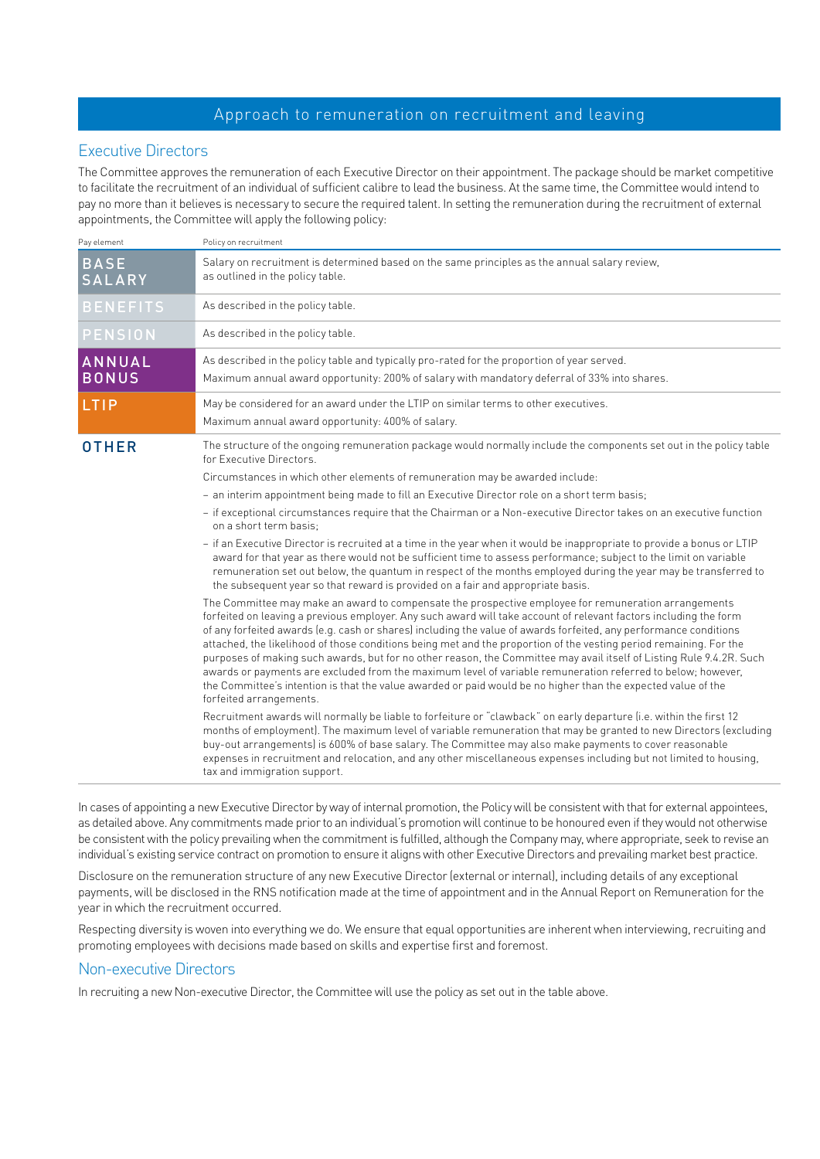## Approach to remuneration on recruitment and leaving

## Executive Directors

The Committee approves the remuneration of each Executive Director on their appointment. The package should be market competitive to facilitate the recruitment of an individual of sufficient calibre to lead the business. At the same time, the Committee would intend to pay no more than it believes is necessary to secure the required talent. In setting the remuneration during the recruitment of external appointments, the Committee will apply the following policy:

| Pay element                   | Policy on recruitment                                                                                                                                                                                                                                                                                                                                                                                                                                                                                                                                                                                                                                                                                                                                                                                                                                   |  |  |  |
|-------------------------------|---------------------------------------------------------------------------------------------------------------------------------------------------------------------------------------------------------------------------------------------------------------------------------------------------------------------------------------------------------------------------------------------------------------------------------------------------------------------------------------------------------------------------------------------------------------------------------------------------------------------------------------------------------------------------------------------------------------------------------------------------------------------------------------------------------------------------------------------------------|--|--|--|
| <b>BASE</b><br><b>SALARY</b>  | Salary on recruitment is determined based on the same principles as the annual salary review,<br>as outlined in the policy table.                                                                                                                                                                                                                                                                                                                                                                                                                                                                                                                                                                                                                                                                                                                       |  |  |  |
| <b>BENEFITS</b>               | As described in the policy table.                                                                                                                                                                                                                                                                                                                                                                                                                                                                                                                                                                                                                                                                                                                                                                                                                       |  |  |  |
| <b>PENSION</b>                | As described in the policy table.                                                                                                                                                                                                                                                                                                                                                                                                                                                                                                                                                                                                                                                                                                                                                                                                                       |  |  |  |
| <b>ANNUAL</b><br><b>BONUS</b> | As described in the policy table and typically pro-rated for the proportion of year served.<br>Maximum annual award opportunity: 200% of salary with mandatory deferral of 33% into shares.                                                                                                                                                                                                                                                                                                                                                                                                                                                                                                                                                                                                                                                             |  |  |  |
| LTIP                          | May be considered for an award under the LTIP on similar terms to other executives.<br>Maximum annual award opportunity: 400% of salary.                                                                                                                                                                                                                                                                                                                                                                                                                                                                                                                                                                                                                                                                                                                |  |  |  |
| <b>OTHER</b>                  | The structure of the ongoing remuneration package would normally include the components set out in the policy table<br>for Executive Directors.                                                                                                                                                                                                                                                                                                                                                                                                                                                                                                                                                                                                                                                                                                         |  |  |  |
|                               | Circumstances in which other elements of remuneration may be awarded include:                                                                                                                                                                                                                                                                                                                                                                                                                                                                                                                                                                                                                                                                                                                                                                           |  |  |  |
|                               | - an interim appointment being made to fill an Executive Director role on a short term basis;                                                                                                                                                                                                                                                                                                                                                                                                                                                                                                                                                                                                                                                                                                                                                           |  |  |  |
|                               | - if exceptional circumstances require that the Chairman or a Non-executive Director takes on an executive function<br>on a short term basis:                                                                                                                                                                                                                                                                                                                                                                                                                                                                                                                                                                                                                                                                                                           |  |  |  |
|                               | - if an Executive Director is recruited at a time in the year when it would be inappropriate to provide a bonus or LTIP<br>award for that year as there would not be sufficient time to assess performance; subject to the limit on variable<br>remuneration set out below, the quantum in respect of the months employed during the year may be transferred to<br>the subsequent year so that reward is provided on a fair and appropriate basis.                                                                                                                                                                                                                                                                                                                                                                                                      |  |  |  |
|                               | The Committee may make an award to compensate the prospective employee for remuneration arrangements<br>forfeited on leaving a previous employer. Any such award will take account of relevant factors including the form<br>of any forfeited awards (e.g. cash or shares) including the value of awards forfeited, any performance conditions<br>attached, the likelihood of those conditions being met and the proportion of the vesting period remaining. For the<br>purposes of making such awards, but for no other reason, the Committee may avail itself of Listing Rule 9.4.2R. Such<br>awards or payments are excluded from the maximum level of variable remuneration referred to below; however,<br>the Committee's intention is that the value awarded or paid would be no higher than the expected value of the<br>forfeited arrangements. |  |  |  |
|                               | Recruitment awards will normally be liable to forfeiture or "clawback" on early departure (i.e. within the first 12<br>months of employment). The maximum level of variable remuneration that may be granted to new Directors (excluding<br>buy-out arrangements) is 600% of base salary. The Committee may also make payments to cover reasonable<br>expenses in recruitment and relocation, and any other miscellaneous expenses including but not limited to housing,<br>tax and immigration support.                                                                                                                                                                                                                                                                                                                                                |  |  |  |

In cases of appointing a new Executive Director by way of internal promotion, the Policy will be consistent with that for external appointees, as detailed above. Any commitments made prior to an individual's promotion will continue to be honoured even if they would not otherwise be consistent with the policy prevailing when the commitment is fulfilled, although the Company may, where appropriate, seek to revise an individual's existing service contract on promotion to ensure it aligns with other Executive Directors and prevailing market best practice.

Disclosure on the remuneration structure of any new Executive Director (external or internal), including details of any exceptional payments, will be disclosed in the RNS notification made at the time of appointment and in the Annual Report on Remuneration for the year in which the recruitment occurred.

Respecting diversity is woven into everything we do. We ensure that equal opportunities are inherent when interviewing, recruiting and promoting employees with decisions made based on skills and expertise first and foremost.

### Non-executive Directors

In recruiting a new Non-executive Director, the Committee will use the policy as set out in the table above.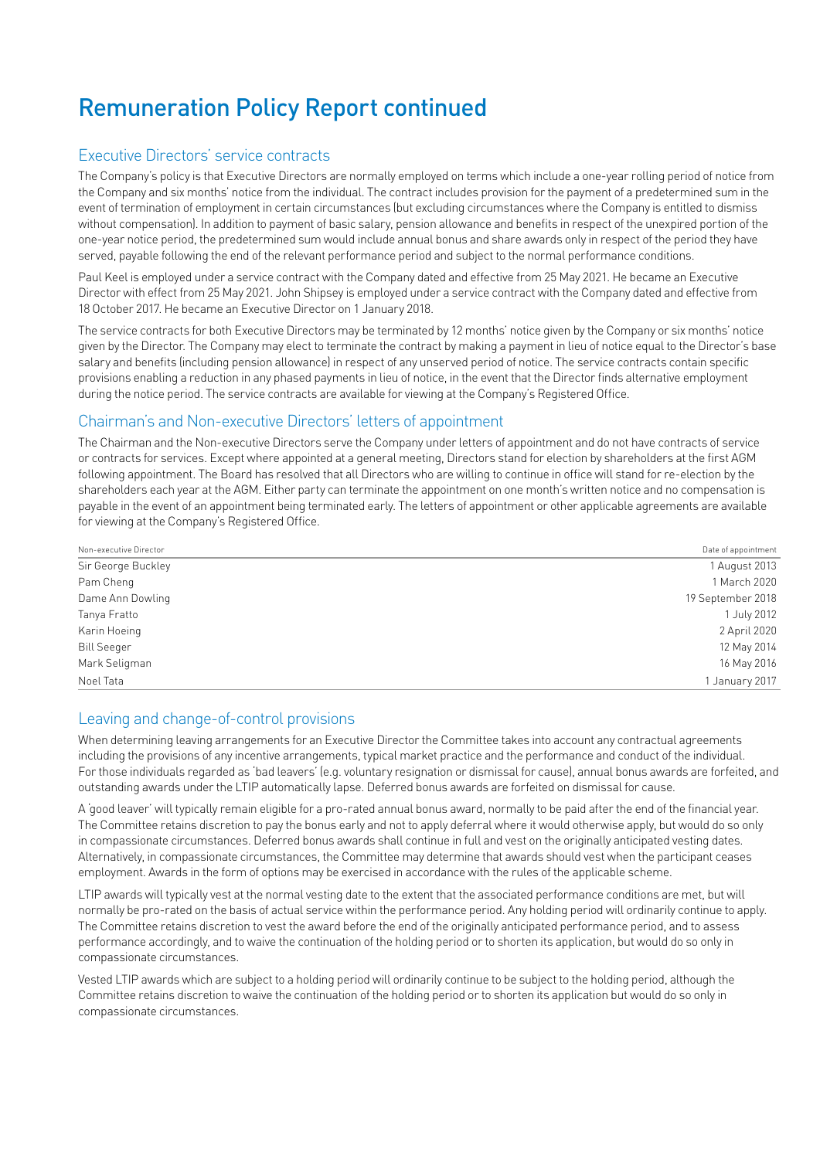# Remuneration Policy Report continued

# Executive Directors' service contracts

The Company's policy is that Executive Directors are normally employed on terms which include a one-year rolling period of notice from the Company and six months' notice from the individual. The contract includes provision for the payment of a predetermined sum in the event of termination of employment in certain circumstances (but excluding circumstances where the Company is entitled to dismiss without compensation). In addition to payment of basic salary, pension allowance and benefits in respect of the unexpired portion of the one-year notice period, the predetermined sum would include annual bonus and share awards only in respect of the period they have served, payable following the end of the relevant performance period and subject to the normal performance conditions.

Paul Keel is employed under a service contract with the Company dated and effective from 25 May 2021. He became an Executive Director with effect from 25 May 2021. John Shipsey is employed under a service contract with the Company dated and effective from 18 October 2017. He became an Executive Director on 1 January 2018.

The service contracts for both Executive Directors may be terminated by 12 months' notice given by the Company or six months' notice given by the Director. The Company may elect to terminate the contract by making a payment in lieu of notice equal to the Director's base salary and benefits (including pension allowance) in respect of any unserved period of notice. The service contracts contain specific provisions enabling a reduction in any phased payments in lieu of notice, in the event that the Director finds alternative employment during the notice period. The service contracts are available for viewing at the Company's Registered Office.

# Chairman's and Non-executive Directors' letters of appointment

The Chairman and the Non-executive Directors serve the Company under letters of appointment and do not have contracts of service or contracts for services. Except where appointed at a general meeting, Directors stand for election by shareholders at the first AGM following appointment. The Board has resolved that all Directors who are willing to continue in office will stand for re-election by the shareholders each year at the AGM. Either party can terminate the appointment on one month's written notice and no compensation is payable in the event of an appointment being terminated early. The letters of appointment or other applicable agreements are available for viewing at the Company's Registered Office.

| Non-executive Director | Date of appointment |
|------------------------|---------------------|
| Sir George Buckley     | 1 August 2013       |
| Pam Cheng              | 1 March 2020        |
| Dame Ann Dowling       | 19 September 2018   |
| Tanya Fratto           | 1 July 2012         |
| Karin Hoeing           | 2 April 2020        |
| <b>Bill Seeger</b>     | 12 May 2014         |
| Mark Seligman          | 16 May 2016         |
| Noel Tata              | 1 January 2017      |

### Leaving and change-of-control provisions

When determining leaving arrangements for an Executive Director the Committee takes into account any contractual agreements including the provisions of any incentive arrangements, typical market practice and the performance and conduct of the individual. For those individuals regarded as 'bad leavers' (e.g. voluntary resignation or dismissal for cause), annual bonus awards are forfeited, and outstanding awards under the LTIP automatically lapse. Deferred bonus awards are forfeited on dismissal for cause.

A 'good leaver' will typically remain eligible for a pro-rated annual bonus award, normally to be paid after the end of the financial year. The Committee retains discretion to pay the bonus early and not to apply deferral where it would otherwise apply, but would do so only in compassionate circumstances. Deferred bonus awards shall continue in full and vest on the originally anticipated vesting dates. Alternatively, in compassionate circumstances, the Committee may determine that awards should vest when the participant ceases employment. Awards in the form of options may be exercised in accordance with the rules of the applicable scheme.

LTIP awards will typically vest at the normal vesting date to the extent that the associated performance conditions are met, but will normally be pro-rated on the basis of actual service within the performance period. Any holding period will ordinarily continue to apply. The Committee retains discretion to vest the award before the end of the originally anticipated performance period, and to assess performance accordingly, and to waive the continuation of the holding period or to shorten its application, but would do so only in compassionate circumstances.

Vested LTIP awards which are subject to a holding period will ordinarily continue to be subject to the holding period, although the Committee retains discretion to waive the continuation of the holding period or to shorten its application but would do so only in compassionate circumstances.